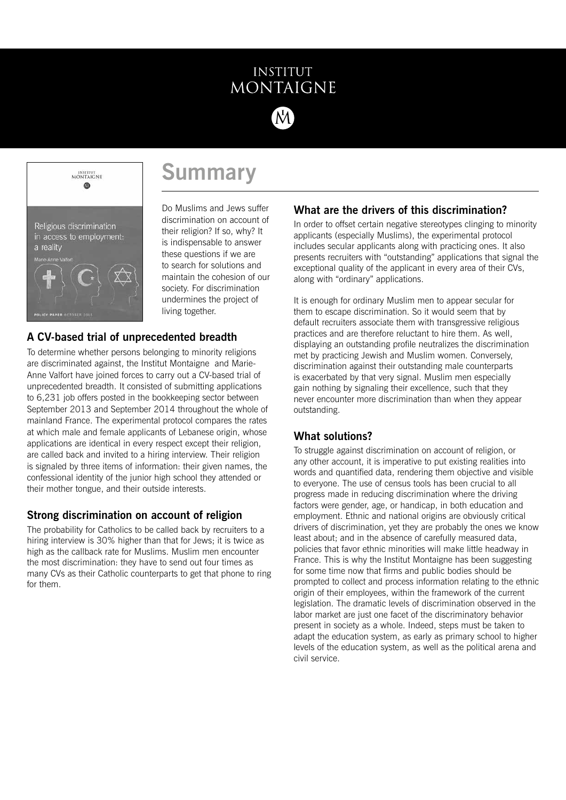### **INSTITUT** MONTAIGNE



## **Summary**

Do Muslims and Jews suffer discrimination on account of their religion? If so, why? It is indispensable to answer these questions if we are to search for solutions and maintain the cohesion of our society. For discrimination undermines the project of living together.

#### **A CV-based trial of unprecedented breadth**

To determine whether persons belonging to minority religions are discriminated against, the Institut Montaigne and Marie-Anne Valfort have joined forces to carry out a CV-based trial of unprecedented breadth. It consisted of submitting applications to 6,231 job offers posted in the bookkeeping sector between September 2013 and September 2014 throughout the whole of mainland France. The experimental protocol compares the rates at which male and female applicants of Lebanese origin, whose applications are identical in every respect except their religion, are called back and invited to a hiring interview. Their religion is signaled by three items of information: their given names, the confessional identity of the junior high school they attended or their mother tongue, and their outside interests.

#### **Strong discrimination on account of religion**

The probability for Catholics to be called back by recruiters to a hiring interview is 30% higher than that for Jews; it is twice as high as the callback rate for Muslims. Muslim men encounter the most discrimination: they have to send out four times as many CVs as their Catholic counterparts to get that phone to ring for them.

#### **What are the drivers of this discrimination?**

In order to offset certain negative stereotypes clinging to minority applicants (especially Muslims), the experimental protocol includes secular applicants along with practicing ones. It also presents recruiters with "outstanding" applications that signal the exceptional quality of the applicant in every area of their CVs, along with "ordinary" applications.

It is enough for ordinary Muslim men to appear secular for them to escape discrimination. So it would seem that by default recruiters associate them with transgressive religious practices and are therefore reluctant to hire them. As well, displaying an outstanding profile neutralizes the discrimination met by practicing Jewish and Muslim women. Conversely, discrimination against their outstanding male counterparts is exacerbated by that very signal. Muslim men especially gain nothing by signaling their excellence, such that they never encounter more discrimination than when they appear outstanding.

#### **What solutions?**

To struggle against discrimination on account of religion, or any other account, it is imperative to put existing realities into words and quantified data, rendering them objective and visible to everyone. The use of census tools has been crucial to all progress made in reducing discrimination where the driving factors were gender, age, or handicap, in both education and employment. Ethnic and national origins are obviously critical drivers of discrimination, yet they are probably the ones we know least about; and in the absence of carefully measured data, policies that favor ethnic minorities will make little headway in France. This is why the Institut Montaigne has been suggesting for some time now that firms and public bodies should be prompted to collect and process information relating to the ethnic origin of their employees, within the framework of the current legislation. The dramatic levels of discrimination observed in the labor market are just one facet of the discriminatory behavior present in society as a whole. Indeed, steps must be taken to adapt the education system, as early as primary school to higher levels of the education system, as well as the political arena and civil service.